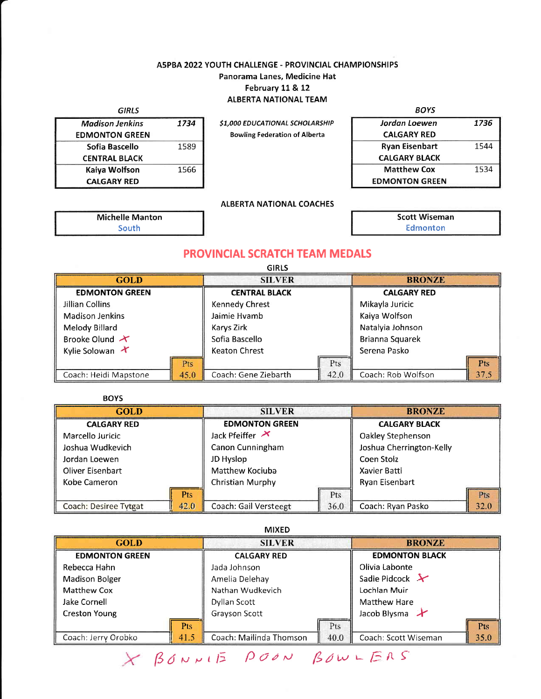## A5PBA 2022YOUTH CHALLENGE - PROVINCIAL CHAMPIONSHIPS Panorama Lanes, Medicine Hat February 11 & 12 ALBERTA NATIONAL TEAM

GIRLS

| <b>Madison Jenkins</b> | 1734 |
|------------------------|------|
| <b>EDMONTON GREEN</b>  |      |
| Sofia Bascello         | 1589 |
| <b>CENTRAL BLACK</b>   |      |
| Kaiya Wolfson          | 1566 |
| <b>CALGARY RED</b>     |      |

Michelle Manton South

\$1,000 EDUCATIONAL SCHOLARSHIP Bowling Federation of Alberta

| BOYS                  |      |
|-----------------------|------|
| Jordan Loewen         | 1736 |
| <b>CALGARY RED</b>    |      |
| <b>Ryan Eisenbart</b> | 1544 |
| <b>CALGARY BLACK</b>  |      |
| <b>Matthew Cox</b>    | 1534 |
| <b>EDMONTON GREEN</b> |      |

### **ALBERTA NATIONAL COACHES**

Scott Wiseman Edmonton

 $\sqrt{3}$ 

## PROVINCIAL SCRATCH TEAM MEDALS

|                         |      | <b>GIRLS</b>         |      |                    |            |  |  |
|-------------------------|------|----------------------|------|--------------------|------------|--|--|
| <b>GOLD</b>             |      | <b>SILVER</b>        |      | <b>BRONZE</b>      |            |  |  |
| <b>EDMONTON GREEN</b>   |      | <b>CENTRAL BLACK</b> |      | <b>CALGARY RED</b> |            |  |  |
| Jillian Collins         |      | Kennedy Chrest       |      | Mikayla Juricic    |            |  |  |
| Madison Jenkins         |      | Jaimie Hvamb         |      | Kaiya Wolfson      |            |  |  |
| Melody Billard          |      | Karys Zirk           |      | Natalyia Johnson   |            |  |  |
| Brooke Olund $\lambda$  |      | Sofia Bascello       |      | Brianna Squarek    |            |  |  |
| Kylie Solowan $\lambda$ |      | <b>Keaton Chrest</b> |      | Serena Pasko       |            |  |  |
|                         | Pts  |                      | Pts  |                    | <b>Pts</b> |  |  |
| Coach: Heidi Mapstone   | 45.0 | Coach: Gene Ziebarth | 42.0 | Coach: Rob Wolfson | 37.5       |  |  |

| <b>BOYS</b>             |                 |                                     |      |                          |      |  |  |
|-------------------------|-----------------|-------------------------------------|------|--------------------------|------|--|--|
| <b>GOLD</b>             |                 | <b>SILVER</b>                       |      | <b>BRONZE</b>            |      |  |  |
| <b>CALGARY RED</b>      |                 | <b>EDMONTON GREEN</b>               |      | <b>CALGARY BLACK</b>     |      |  |  |
| Marcello Juricic        |                 | Jack Pfeiffer $\boldsymbol{\times}$ |      | Oakley Stephenson        |      |  |  |
| Joshua Wudkevich        |                 | Canon Cunningham                    |      | Joshua Cherrington-Kelly |      |  |  |
| Jordan Loewen           |                 | JD Hyslop                           |      | Coen Stolz               |      |  |  |
| <b>Oliver Eisenbart</b> |                 | Matthew Kociuba                     |      | Xavier Batti             |      |  |  |
| Kobe Cameron            |                 | Christian Murphy                    |      | Ryan Eisenbart           |      |  |  |
|                         | P <sub>ts</sub> |                                     | Pts  |                          | Pts  |  |  |
| Coach: Desiree Tytgat   | 42.0            | Coach: Gail Versteegt               | 36.0 | Coach: Ryan Pasko        | 32.0 |  |  |

#### MIXED

| <b>GOLD</b>                 | <b>SILVER</b>                   | <b>BRONZE</b>                |  |  |  |
|-----------------------------|---------------------------------|------------------------------|--|--|--|
| <b>EDMONTON GREEN</b>       | <b>CALGARY RED</b>              | <b>EDMONTON BLACK</b>        |  |  |  |
| Rebecca Hahn                | Jada Johnson                    | Olivia Labonte               |  |  |  |
| <b>Madison Bolger</b>       | Amelia Delehay                  | Sadie Pidcock $\mathcal{X}$  |  |  |  |
| Matthew Cox                 | Nathan Wudkevich                | Lochlan Muir                 |  |  |  |
| Jake Cornell                | Dyllan Scott                    | Matthew Hare                 |  |  |  |
| <b>Creston Young</b>        | Grayson Scott                   | Jacob Blysma Y               |  |  |  |
| <b>Pts</b>                  | Pts                             | Pts                          |  |  |  |
| Coach: Jerry Orobko<br>41.5 | 40.0<br>Coach: Mailinda Thomson | 35.0<br>Coach: Scott Wiseman |  |  |  |
|                             | X BONNIE POON BOWLERS           |                              |  |  |  |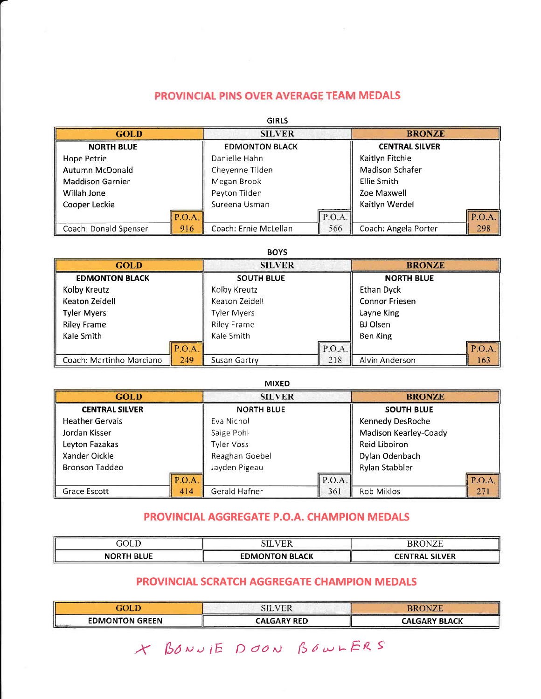# PROVINCIAL PINS OVER AVERAGE TEAM MEDALS

| <b>GIRLS</b>            |             |                       |        |                       |       |  |  |  |  |  |  |  |  |
|-------------------------|-------------|-----------------------|--------|-----------------------|-------|--|--|--|--|--|--|--|--|
| <b>GOLD</b>             |             | <b>SILVER</b>         |        | <b>BRONZE</b>         |       |  |  |  |  |  |  |  |  |
| <b>NORTH BLUE</b>       |             | <b>EDMONTON BLACK</b> |        | <b>CENTRAL SILVER</b> |       |  |  |  |  |  |  |  |  |
| Hope Petrie             |             | Danielle Hahn         |        | Kaitlyn Fitchie       |       |  |  |  |  |  |  |  |  |
| Autumn McDonald         |             | Cheyenne Tilden       |        | Madison Schafer       |       |  |  |  |  |  |  |  |  |
| <b>Maddison Garnier</b> |             | Megan Brook           |        | Ellie Smith           |       |  |  |  |  |  |  |  |  |
| Willah Jone             |             | Peyton Tilden         |        | Zoe Maxwell           |       |  |  |  |  |  |  |  |  |
| Cooper Leckie           |             | Sureena Usman         |        | Kaitlyn Werdel        |       |  |  |  |  |  |  |  |  |
|                         | $\ $ P.O.A. |                       | P.O.A. |                       | P.O.A |  |  |  |  |  |  |  |  |
| Coach: Donald Spenser   | 916         | Coach: Ernie McLellan | 566    | Coach: Angela Porter  | 298   |  |  |  |  |  |  |  |  |

#### BOYS

| <b>GOLD</b>              |       | <b>SILVER</b>      |        | <b>BRONZE</b>         |        |  |
|--------------------------|-------|--------------------|--------|-----------------------|--------|--|
| <b>EDMONTON BLACK</b>    |       | <b>SOUTH BLUE</b>  |        | <b>NORTH BLUE</b>     |        |  |
| Kolby Kreutz             |       | Kolby Kreutz       |        | Ethan Dyck            |        |  |
| Keaton Zeidell           |       | Keaton Zeidell     |        | <b>Connor Friesen</b> |        |  |
| <b>Tyler Myers</b>       |       | <b>Tyler Myers</b> |        | Layne King            |        |  |
| <b>Riley Frame</b>       |       | <b>Riley Frame</b> |        | BJ Olsen              |        |  |
| Kale Smith               |       | Kale Smith         |        | Ben King              |        |  |
|                          | P.O.A |                    | P.O.A. |                       | P.O.A. |  |
| Coach: Martinho Marciano | 249   | Susan Gartry       | 218    | Alvin Anderson        | 163    |  |

| <b>MIXED</b>           |       |                   |        |                       |        |  |  |  |  |  |  |  |  |
|------------------------|-------|-------------------|--------|-----------------------|--------|--|--|--|--|--|--|--|--|
| <b>GOLD</b>            |       | <b>SILVER</b>     |        | <b>BRONZE</b>         |        |  |  |  |  |  |  |  |  |
| <b>CENTRAL SILVER</b>  |       | <b>NORTH BLUE</b> |        | <b>SOUTH BLUE</b>     |        |  |  |  |  |  |  |  |  |
| <b>Heather Gervais</b> |       | Eva Nichol        |        | Kennedy DesRoche      |        |  |  |  |  |  |  |  |  |
| Jordan Kisser          |       | Saige Pohl        |        | Madison Kearley-Coady |        |  |  |  |  |  |  |  |  |
| Leyton Fazakas         |       | Tyler Voss        |        | Reid Liboiron         |        |  |  |  |  |  |  |  |  |
| Xander Oickle          |       | Reaghan Goebel    |        | Dylan Odenbach        |        |  |  |  |  |  |  |  |  |
| <b>Bronson Taddeo</b>  |       | Jayden Pigeau     |        | Rylan Stabbler        |        |  |  |  |  |  |  |  |  |
|                        | P.O.A |                   | P.O.A. |                       | P.O.A. |  |  |  |  |  |  |  |  |
| Grace Escott           | 414   | Gerald Hafner     | 361    | Rob Miklos            | 271    |  |  |  |  |  |  |  |  |

# PROVINCIAL AGGREGATE P.O.A. CHAMPION MEDALS

| $\Delta$<br>JULL  | <b>TIME</b><br>SIL    | W.<br>```<br>LЛ       |
|-------------------|-----------------------|-----------------------|
| <b>NORTH BLUE</b> | <b>EDMONTON BLACK</b> | <b>CENTRAL SILVER</b> |

# PROVINCIAL SCRATCH AGGREGATE CHAMPION MEDALS

|                             | SILVER             | <b>BRONZE</b> |
|-----------------------------|--------------------|---------------|
| <b>EDMONTON GREEN</b><br>ш. | <b>CALGARY RED</b> | CALGARY BLACK |

.Y [9duDtE DdaN (5a,uLERs'